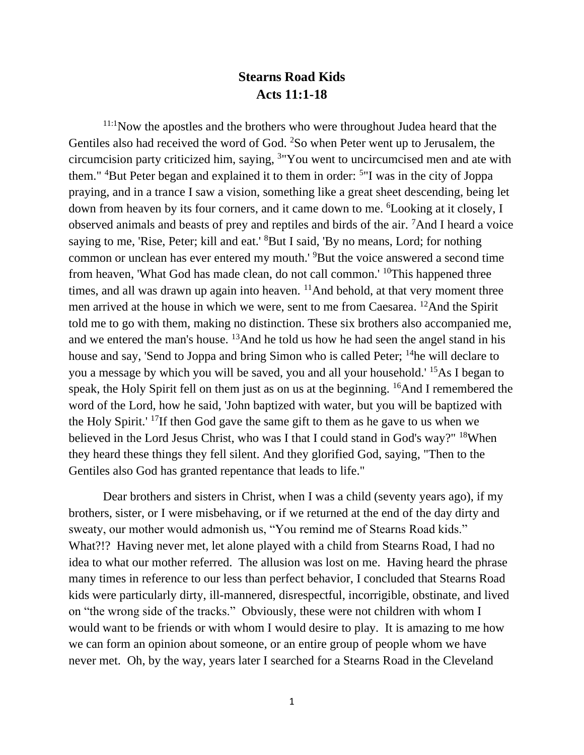## **Stearns Road Kids Acts 11:1-18**

11:1Now the apostles and the brothers who were throughout Judea heard that the Gentiles also had received the word of God. <sup>2</sup>So when Peter went up to Jerusalem, the circumcision party criticized him, saying, <sup>3</sup> "You went to uncircumcised men and ate with them." <sup>4</sup>But Peter began and explained it to them in order: <sup>5</sup>"I was in the city of Joppa praying, and in a trance I saw a vision, something like a great sheet descending, being let down from heaven by its four corners, and it came down to me. <sup>6</sup>Looking at it closely, I observed animals and beasts of prey and reptiles and birds of the air. <sup>7</sup>And I heard a voice saying to me, 'Rise, Peter; kill and eat.' <sup>8</sup>But I said, 'By no means, Lord; for nothing common or unclean has ever entered my mouth.' <sup>9</sup>But the voice answered a second time from heaven, 'What God has made clean, do not call common.' <sup>10</sup>This happened three times, and all was drawn up again into heaven.  $\frac{11}{1}$ And behold, at that very moment three men arrived at the house in which we were, sent to me from Caesarea. <sup>12</sup>And the Spirit told me to go with them, making no distinction. These six brothers also accompanied me, and we entered the man's house. <sup>13</sup>And he told us how he had seen the angel stand in his house and say, 'Send to Joppa and bring Simon who is called Peter; <sup>14</sup>he will declare to you a message by which you will be saved, you and all your household.' <sup>15</sup>As I began to speak, the Holy Spirit fell on them just as on us at the beginning. <sup>16</sup>And I remembered the word of the Lord, how he said, 'John baptized with water, but you will be baptized with the Holy Spirit.' <sup>17</sup>If then God gave the same gift to them as he gave to us when we believed in the Lord Jesus Christ, who was I that I could stand in God's way?" <sup>18</sup>When they heard these things they fell silent. And they glorified God, saying, "Then to the Gentiles also God has granted repentance that leads to life."

Dear brothers and sisters in Christ, when I was a child (seventy years ago), if my brothers, sister, or I were misbehaving, or if we returned at the end of the day dirty and sweaty, our mother would admonish us, "You remind me of Stearns Road kids." What?!? Having never met, let alone played with a child from Stearns Road, I had no idea to what our mother referred. The allusion was lost on me. Having heard the phrase many times in reference to our less than perfect behavior, I concluded that Stearns Road kids were particularly dirty, ill-mannered, disrespectful, incorrigible, obstinate, and lived on "the wrong side of the tracks." Obviously, these were not children with whom I would want to be friends or with whom I would desire to play. It is amazing to me how we can form an opinion about someone, or an entire group of people whom we have never met. Oh, by the way, years later I searched for a Stearns Road in the Cleveland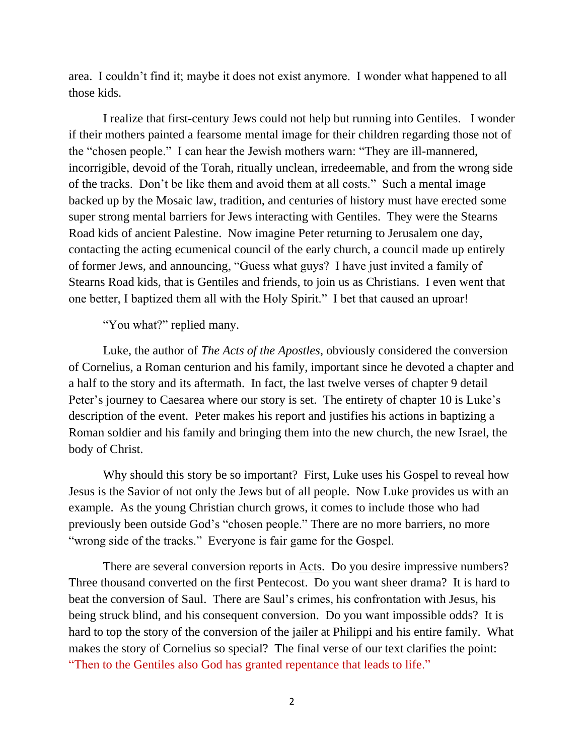area. I couldn't find it; maybe it does not exist anymore. I wonder what happened to all those kids.

I realize that first-century Jews could not help but running into Gentiles. I wonder if their mothers painted a fearsome mental image for their children regarding those not of the "chosen people." I can hear the Jewish mothers warn: "They are ill-mannered, incorrigible, devoid of the Torah, ritually unclean, irredeemable, and from the wrong side of the tracks. Don't be like them and avoid them at all costs." Such a mental image backed up by the Mosaic law, tradition, and centuries of history must have erected some super strong mental barriers for Jews interacting with Gentiles. They were the Stearns Road kids of ancient Palestine. Now imagine Peter returning to Jerusalem one day, contacting the acting ecumenical council of the early church, a council made up entirely of former Jews, and announcing, "Guess what guys? I have just invited a family of Stearns Road kids, that is Gentiles and friends, to join us as Christians. I even went that one better, I baptized them all with the Holy Spirit." I bet that caused an uproar!

"You what?" replied many.

Luke, the author of *The Acts of the Apostles*, obviously considered the conversion of Cornelius, a Roman centurion and his family, important since he devoted a chapter and a half to the story and its aftermath. In fact, the last twelve verses of chapter 9 detail Peter's journey to Caesarea where our story is set. The entirety of chapter 10 is Luke's description of the event. Peter makes his report and justifies his actions in baptizing a Roman soldier and his family and bringing them into the new church, the new Israel, the body of Christ.

Why should this story be so important? First, Luke uses his Gospel to reveal how Jesus is the Savior of not only the Jews but of all people. Now Luke provides us with an example. As the young Christian church grows, it comes to include those who had previously been outside God's "chosen people." There are no more barriers, no more "wrong side of the tracks." Everyone is fair game for the Gospel.

There are several conversion reports in <u>Acts</u>. Do you desire impressive numbers? Three thousand converted on the first Pentecost. Do you want sheer drama? It is hard to beat the conversion of Saul. There are Saul's crimes, his confrontation with Jesus, his being struck blind, and his consequent conversion. Do you want impossible odds? It is hard to top the story of the conversion of the jailer at Philippi and his entire family. What makes the story of Cornelius so special? The final verse of our text clarifies the point: "Then to the Gentiles also God has granted repentance that leads to life."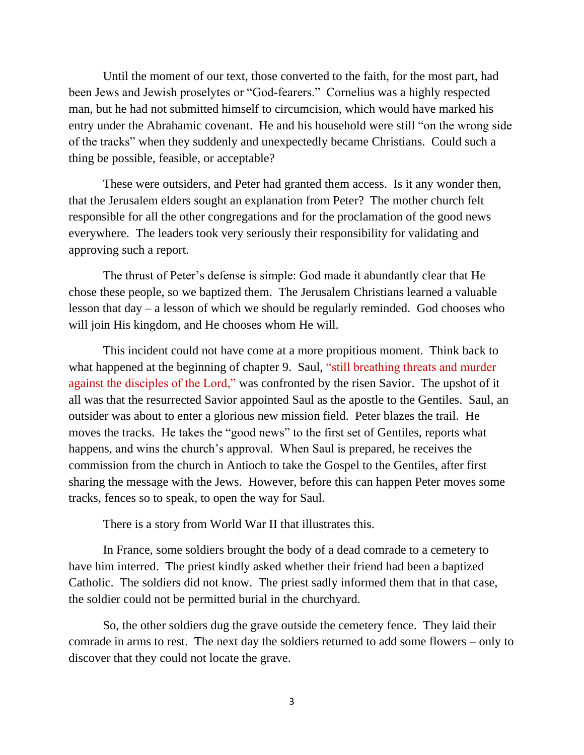Until the moment of our text, those converted to the faith, for the most part, had been Jews and Jewish proselytes or "God-fearers." Cornelius was a highly respected man, but he had not submitted himself to circumcision, which would have marked his entry under the Abrahamic covenant. He and his household were still "on the wrong side of the tracks" when they suddenly and unexpectedly became Christians. Could such a thing be possible, feasible, or acceptable?

These were outsiders, and Peter had granted them access. Is it any wonder then, that the Jerusalem elders sought an explanation from Peter? The mother church felt responsible for all the other congregations and for the proclamation of the good news everywhere. The leaders took very seriously their responsibility for validating and approving such a report.

The thrust of Peter's defense is simple: God made it abundantly clear that He chose these people, so we baptized them. The Jerusalem Christians learned a valuable lesson that day – a lesson of which we should be regularly reminded. God chooses who will join His kingdom, and He chooses whom He will.

This incident could not have come at a more propitious moment. Think back to what happened at the beginning of chapter 9. Saul, "still breathing threats and murder against the disciples of the Lord," was confronted by the risen Savior. The upshot of it all was that the resurrected Savior appointed Saul as the apostle to the Gentiles. Saul, an outsider was about to enter a glorious new mission field. Peter blazes the trail. He moves the tracks. He takes the "good news" to the first set of Gentiles, reports what happens, and wins the church's approval. When Saul is prepared, he receives the commission from the church in Antioch to take the Gospel to the Gentiles, after first sharing the message with the Jews. However, before this can happen Peter moves some tracks, fences so to speak, to open the way for Saul.

There is a story from World War II that illustrates this.

In France, some soldiers brought the body of a dead comrade to a cemetery to have him interred. The priest kindly asked whether their friend had been a baptized Catholic. The soldiers did not know. The priest sadly informed them that in that case, the soldier could not be permitted burial in the churchyard.

So, the other soldiers dug the grave outside the cemetery fence. They laid their comrade in arms to rest. The next day the soldiers returned to add some flowers – only to discover that they could not locate the grave.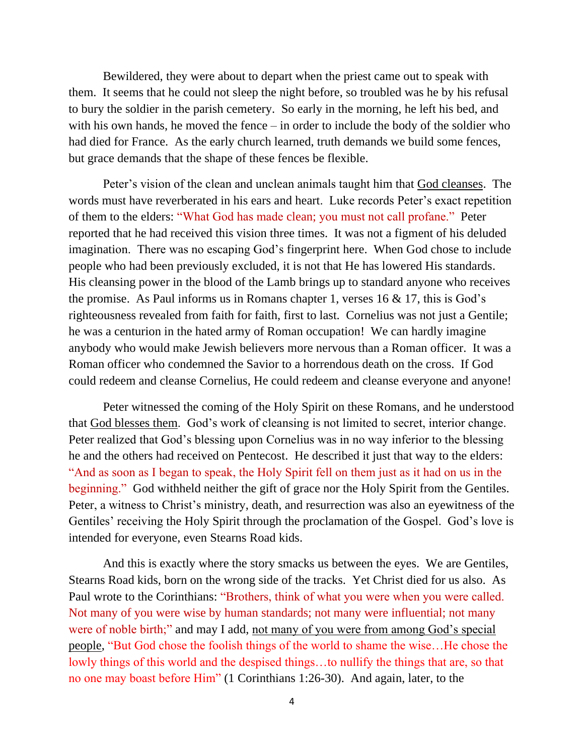Bewildered, they were about to depart when the priest came out to speak with them. It seems that he could not sleep the night before, so troubled was he by his refusal to bury the soldier in the parish cemetery. So early in the morning, he left his bed, and with his own hands, he moved the fence – in order to include the body of the soldier who had died for France. As the early church learned, truth demands we build some fences, but grace demands that the shape of these fences be flexible.

Peter's vision of the clean and unclean animals taught him that God cleanses. The words must have reverberated in his ears and heart. Luke records Peter's exact repetition of them to the elders: "What God has made clean; you must not call profane." Peter reported that he had received this vision three times. It was not a figment of his deluded imagination. There was no escaping God's fingerprint here. When God chose to include people who had been previously excluded, it is not that He has lowered His standards. His cleansing power in the blood of the Lamb brings up to standard anyone who receives the promise. As Paul informs us in Romans chapter 1, verses  $16 \& 17$ , this is God's righteousness revealed from faith for faith, first to last. Cornelius was not just a Gentile; he was a centurion in the hated army of Roman occupation! We can hardly imagine anybody who would make Jewish believers more nervous than a Roman officer. It was a Roman officer who condemned the Savior to a horrendous death on the cross. If God could redeem and cleanse Cornelius, He could redeem and cleanse everyone and anyone!

Peter witnessed the coming of the Holy Spirit on these Romans, and he understood that God blesses them. God's work of cleansing is not limited to secret, interior change. Peter realized that God's blessing upon Cornelius was in no way inferior to the blessing he and the others had received on Pentecost. He described it just that way to the elders: "And as soon as I began to speak, the Holy Spirit fell on them just as it had on us in the beginning." God withheld neither the gift of grace nor the Holy Spirit from the Gentiles. Peter, a witness to Christ's ministry, death, and resurrection was also an eyewitness of the Gentiles' receiving the Holy Spirit through the proclamation of the Gospel. God's love is intended for everyone, even Stearns Road kids.

And this is exactly where the story smacks us between the eyes. We are Gentiles, Stearns Road kids, born on the wrong side of the tracks. Yet Christ died for us also. As Paul wrote to the Corinthians: "Brothers, think of what you were when you were called. Not many of you were wise by human standards; not many were influential; not many were of noble birth;" and may I add, not many of you were from among God's special people, "But God chose the foolish things of the world to shame the wise…He chose the lowly things of this world and the despised things…to nullify the things that are, so that no one may boast before Him" (1 Corinthians 1:26-30). And again, later, to the